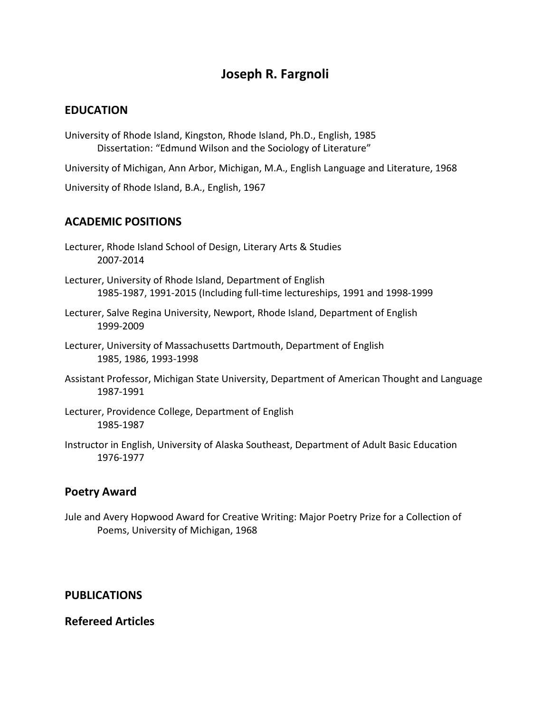# **Joseph R. Fargnoli**

#### **EDUCATION**

University of Rhode Island, Kingston, Rhode Island, Ph.D., English, 1985 Dissertation: "Edmund Wilson and the Sociology of Literature"

University of Michigan, Ann Arbor, Michigan, M.A., English Language and Literature, 1968

University of Rhode Island, B.A., English, 1967

## **ACADEMIC POSITIONS**

- Lecturer, Rhode Island School of Design, Literary Arts & Studies 2007-2014
- Lecturer, University of Rhode Island, Department of English 1985-1987, 1991-2015 (Including full-time lectureships, 1991 and 1998-1999
- Lecturer, Salve Regina University, Newport, Rhode Island, Department of English 1999-2009
- Lecturer, University of Massachusetts Dartmouth, Department of English 1985, 1986, 1993-1998
- Assistant Professor, Michigan State University, Department of American Thought and Language 1987-1991
- Lecturer, Providence College, Department of English 1985-1987
- Instructor in English, University of Alaska Southeast, Department of Adult Basic Education 1976-1977

#### **Poetry Award**

Jule and Avery Hopwood Award for Creative Writing: Major Poetry Prize for a Collection of Poems, University of Michigan, 1968

#### **PUBLICATIONS**

#### **Refereed Articles**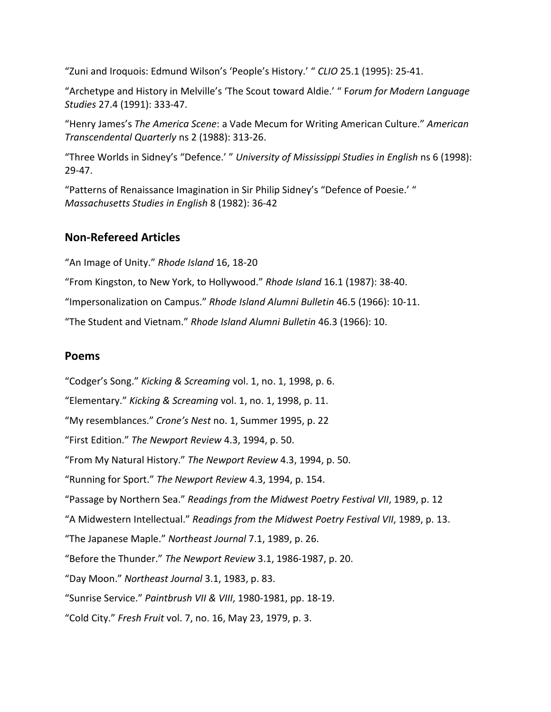"Zuni and Iroquois: Edmund Wilson's 'People's History.' " *CLIO* 25.1 (1995): 25-41.

"Archetype and History in Melville's 'The Scout toward Aldie.' " F*orum for Modern Language Studies* 27.4 (1991): 333-47.

"Henry James's *The America Scene*: a Vade Mecum for Writing American Culture." *American Transcendental Quarterly* ns 2 (1988): 313-26.

"Three Worlds in Sidney's "Defence.' " *University of Mississippi Studies in English* ns 6 (1998): 29-47.

"Patterns of Renaissance Imagination in Sir Philip Sidney's "Defence of Poesie.' " *Massachusetts Studies in English* 8 (1982): 36-42

# **Non-Refereed Articles**

"An Image of Unity." *Rhode Island* 16, 18-20

"From Kingston, to New York, to Hollywood." *Rhode Island* 16.1 (1987): 38-40.

"Impersonalization on Campus." *Rhode Island Alumni Bulletin* 46.5 (1966): 10-11.

"The Student and Vietnam." *Rhode Island Alumni Bulletin* 46.3 (1966): 10.

#### **Poems**

"Codger's Song." *Kicking & Screaming* vol. 1, no. 1, 1998, p. 6. "Elementary." *Kicking & Screaming* vol. 1, no. 1, 1998, p. 11. "My resemblances." *Crone's Nest* no. 1, Summer 1995, p. 22 "First Edition." *The Newport Review* 4.3, 1994, p. 50. "From My Natural History." *The Newport Review* 4.3, 1994, p. 50. "Running for Sport." *The Newport Review* 4.3, 1994, p. 154. "Passage by Northern Sea." *Readings from the Midwest Poetry Festival VII*, 1989, p. 12 "A Midwestern Intellectual." *Readings from the Midwest Poetry Festival VII*, 1989, p. 13. "The Japanese Maple." *Northeast Journal* 7.1, 1989, p. 26. "Before the Thunder." *The Newport Review* 3.1, 1986-1987, p. 20. "Day Moon." *Northeast Journal* 3.1, 1983, p. 83. "Sunrise Service." *Paintbrush VII & VIII*, 1980-1981, pp. 18-19. "Cold City." *Fresh Fruit* vol. 7, no. 16, May 23, 1979, p. 3.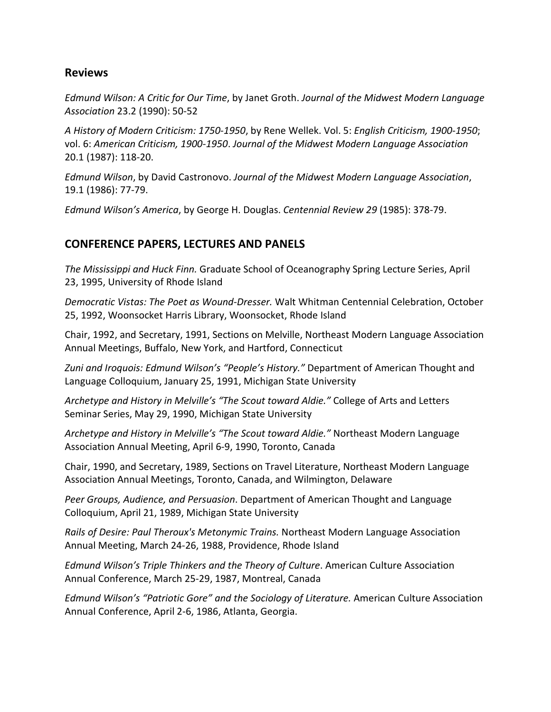#### **Reviews**

*Edmund Wilson: A Critic for Our Time*, by Janet Groth. *Journal of the Midwest Modern Language Association* 23.2 (1990): 50-52

*A History of Modern Criticism: 1750-1950*, by Rene Wellek. Vol. 5: *English Criticism, 1900-1950*; vol. 6: *American Criticism, 1900-1950*. *Journal of the Midwest Modern Language Association* 20.1 (1987): 118-20.

*Edmund Wilson*, by David Castronovo. *Journal of the Midwest Modern Language Association*, 19.1 (1986): 77-79.

*Edmund Wilson's America*, by George H. Douglas. *Centennial Review 29* (1985): 378-79.

## **CONFERENCE PAPERS, LECTURES AND PANELS**

*The Mississippi and Huck Finn.* Graduate School of Oceanography Spring Lecture Series, April 23, 1995, University of Rhode Island

*Democratic Vistas: The Poet as Wound-Dresser.* Walt Whitman Centennial Celebration, October 25, 1992, Woonsocket Harris Library, Woonsocket, Rhode Island

Chair, 1992, and Secretary, 1991, Sections on Melville, Northeast Modern Language Association Annual Meetings, Buffalo, New York, and Hartford, Connecticut

*Zuni and Iroquois: Edmund Wilson's "People's History."* Department of American Thought and Language Colloquium, January 25, 1991, Michigan State University

*Archetype and History in Melville's "The Scout toward Aldie."* College of Arts and Letters Seminar Series, May 29, 1990, Michigan State University

*Archetype and History in Melville's "The Scout toward Aldie."* Northeast Modern Language Association Annual Meeting, April 6-9, 1990, Toronto, Canada

Chair, 1990, and Secretary, 1989, Sections on Travel Literature, Northeast Modern Language Association Annual Meetings, Toronto, Canada, and Wilmington, Delaware

*Peer Groups, Audience, and Persuasion*. Department of American Thought and Language Colloquium, April 21, 1989, Michigan State University

*Rails of Desire: Paul Theroux's Metonymic Trains.* Northeast Modern Language Association Annual Meeting, March 24-26, 1988, Providence, Rhode Island

*Edmund Wilson's Triple Thinkers and the Theory of Culture*. American Culture Association Annual Conference, March 25-29, 1987, Montreal, Canada

*Edmund Wilson's "Patriotic Gore" and the Sociology of Literature.* American Culture Association Annual Conference, April 2-6, 1986, Atlanta, Georgia.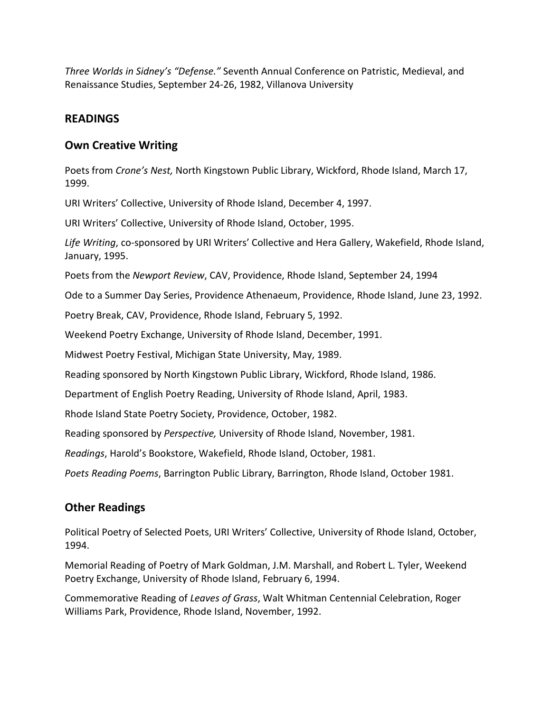*Three Worlds in Sidney's "Defense."* Seventh Annual Conference on Patristic, Medieval, and Renaissance Studies, September 24-26, 1982, Villanova University

#### **READINGS**

#### **Own Creative Writing**

Poets from *Crone's Nest,* North Kingstown Public Library, Wickford, Rhode Island, March 17, 1999.

URI Writers' Collective, University of Rhode Island, December 4, 1997.

URI Writers' Collective, University of Rhode Island, October, 1995.

*Life Writing*, co-sponsored by URI Writers' Collective and Hera Gallery, Wakefield, Rhode Island, January, 1995.

Poets from the *Newport Review*, CAV, Providence, Rhode Island, September 24, 1994

Ode to a Summer Day Series, Providence Athenaeum, Providence, Rhode Island, June 23, 1992.

Poetry Break, CAV, Providence, Rhode Island, February 5, 1992.

Weekend Poetry Exchange, University of Rhode Island, December, 1991.

Midwest Poetry Festival, Michigan State University, May, 1989.

Reading sponsored by North Kingstown Public Library, Wickford, Rhode Island, 1986.

Department of English Poetry Reading, University of Rhode Island, April, 1983.

Rhode Island State Poetry Society, Providence, October, 1982.

Reading sponsored by *Perspective,* University of Rhode Island, November, 1981.

*Readings*, Harold's Bookstore, Wakefield, Rhode Island, October, 1981.

*Poets Reading Poems*, Barrington Public Library, Barrington, Rhode Island, October 1981.

## **Other Readings**

Political Poetry of Selected Poets, URI Writers' Collective, University of Rhode Island, October, 1994.

Memorial Reading of Poetry of Mark Goldman, J.M. Marshall, and Robert L. Tyler, Weekend Poetry Exchange, University of Rhode Island, February 6, 1994.

Commemorative Reading of *Leaves of Grass*, Walt Whitman Centennial Celebration, Roger Williams Park, Providence, Rhode Island, November, 1992.